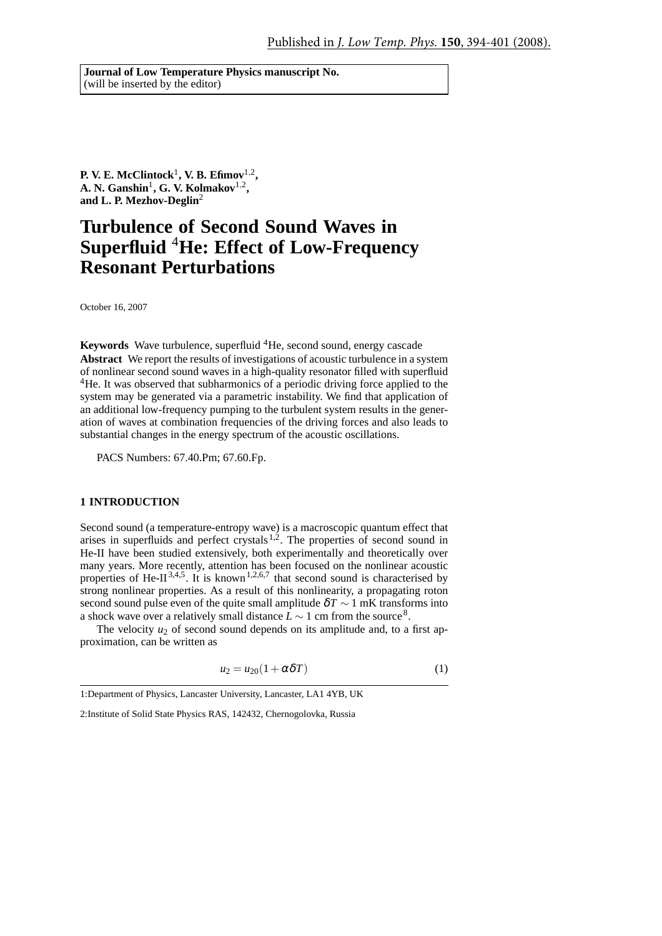**Journal of Low Temperature Physics manuscript No.** (will be inserted by the editor)

**P. V. E. McClintock**<sup>1</sup> **, V. B. Efimov**1,<sup>2</sup> **, A. N. Ganshin**<sup>1</sup> **, G. V. Kolmakov**1,<sup>2</sup> **, and L. P. Mezhov-Deglin**<sup>2</sup>

# **Turbulence of Second Sound Waves in Superfluid** <sup>4</sup>**He: Effect of Low-Frequency Resonant Perturbations**

October 16, 2007

**Keywords** Wave turbulence, superfluid <sup>4</sup>He, second sound, energy cascade **Abstract** We report the results of investigations of acoustic turbulence in a system of nonlinear second sound waves in a high-quality resonator filled with superfluid <sup>4</sup>He. It was observed that subharmonics of a periodic driving force applied to the system may be generated via a parametric instability. We find that application of an additional low-frequency pumping to the turbulent system results in the generation of waves at combination frequencies of the driving forces and also leads to substantial changes in the energy spectrum of the acoustic oscillations.

PACS Numbers: 67.40.Pm; 67.60.Fp.

## **1 INTRODUCTION**

Second sound (a temperature-entropy wave) is a macroscopic quantum effect that arises in superfluids and perfect crystals 1,2. The properties of second sound in He-II have been studied extensively, both experimentally and theoretically over many years. More recently, attention has been focused on the nonlinear acoustic properties of He-II<sup>3,4,5</sup>. It is known<sup>1,2,6,7</sup> that second sound is characterised by strong nonlinear properties. As a result of this nonlinearity, a propagating roton second sound pulse even of the quite small amplitude  $\delta T \sim 1$  mK transforms into a shock wave over a relatively small distance  $\tilde{L} \sim 1$  cm from the source<sup>8</sup>.

The velocity  $u_2$  of second sound depends on its amplitude and, to a first approximation, can be written as

$$
u_2 = u_{20}(1 + \alpha \delta T) \tag{1}
$$

<sup>1:</sup>Department of Physics, Lancaster University, Lancaster, LA1 4YB, UK

<sup>2:</sup>Institute of Solid State Physics RAS, 142432, Chernogolovka, Russia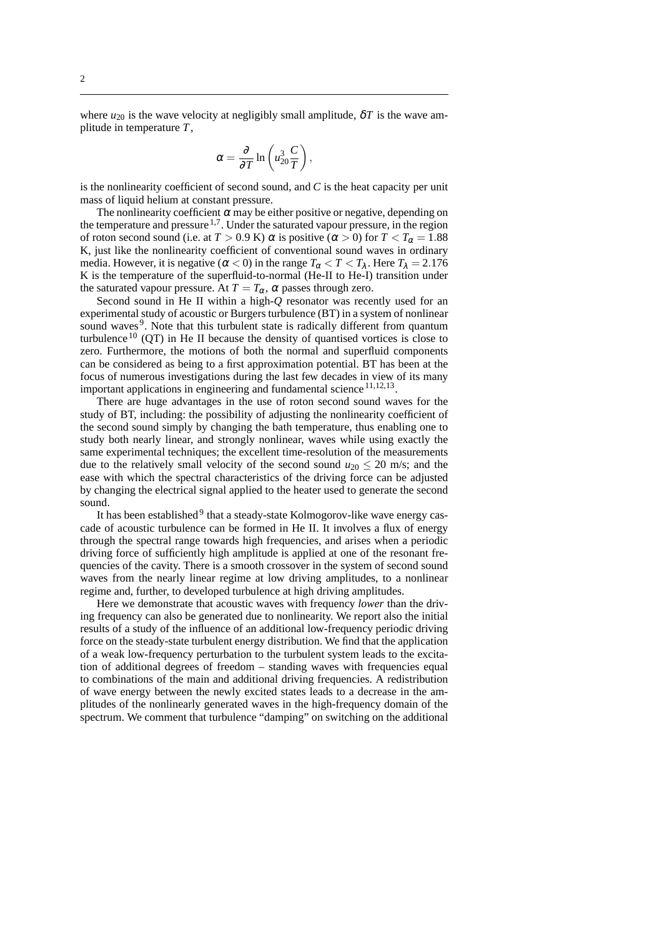where  $u_{20}$  is the wave velocity at negligibly small amplitude,  $\delta T$  is the wave amplitude in temperature *T*,

$$
\alpha = \frac{\partial}{\partial T} \ln \left( u_{20}^3 \frac{C}{T} \right),
$$

is the nonlinearity coefficient of second sound, and *C* is the heat capacity per unit mass of liquid helium at constant pressure.

The nonlinearity coefficient  $\alpha$  may be either positive or negative, depending on the temperature and pressure <sup>1,7</sup>. Under the saturated vapour pressure, in the region of roton second sound (i.e. at  $T > 0.9$  K)  $\alpha$  is positive  $(\alpha > 0)$  for  $T < T_{\alpha} = 1.88$ K, just like the nonlinearity coefficient of conventional sound waves in ordinary media. However, it is negative ( $\alpha$  < 0) in the range  $T_{\alpha}$  <  $T$  <  $T_{\lambda}$ . Here  $T_{\lambda}$  = 2.176 K is the temperature of the superfluid-to-normal (He-II to He-I) transition under the saturated vapour pressure. At  $T = T_\alpha$ ,  $\alpha$  passes through zero.

Second sound in He II within a high-*Q* resonator was recently used for an experimental study of acoustic or Burgers turbulence (BT) in a system of nonlinear sound waves<sup>9</sup>. Note that this turbulent state is radically different from quantum turbulence  $10$  (QT) in He II because the density of quantised vortices is close to zero. Furthermore, the motions of both the normal and superfluid components can be considered as being to a first approximation potential. BT has been at the focus of numerous investigations during the last few decades in view of its many important applications in engineering and fundamental science <sup>11,12,13</sup>.

There are huge advantages in the use of roton second sound waves for the study of BT, including: the possibility of adjusting the nonlinearity coefficient of the second sound simply by changing the bath temperature, thus enabling one to study both nearly linear, and strongly nonlinear, waves while using exactly the same experimental techniques; the excellent time-resolution of the measurements due to the relatively small velocity of the second sound  $u_{20} \le 20$  m/s; and the ease with which the spectral characteristics of the driving force can be adjusted by changing the electrical signal applied to the heater used to generate the second sound.

It has been established<sup>9</sup> that a steady-state Kolmogorov-like wave energy cascade of acoustic turbulence can be formed in He II. It involves a flux of energy through the spectral range towards high frequencies, and arises when a periodic driving force of sufficiently high amplitude is applied at one of the resonant frequencies of the cavity. There is a smooth crossover in the system of second sound waves from the nearly linear regime at low driving amplitudes, to a nonlinear regime and, further, to developed turbulence at high driving amplitudes.

Here we demonstrate that acoustic waves with frequency *lower* than the driving frequency can also be generated due to nonlinearity. We report also the initial results of a study of the influence of an additional low-frequency periodic driving force on the steady-state turbulent energy distribution. We find that the application of a weak low-frequency perturbation to the turbulent system leads to the excitation of additional degrees of freedom – standing waves with frequencies equal to combinations of the main and additional driving frequencies. A redistribution of wave energy between the newly excited states leads to a decrease in the amplitudes of the nonlinearly generated waves in the high-frequency domain of the spectrum. We comment that turbulence "damping" on switching on the additional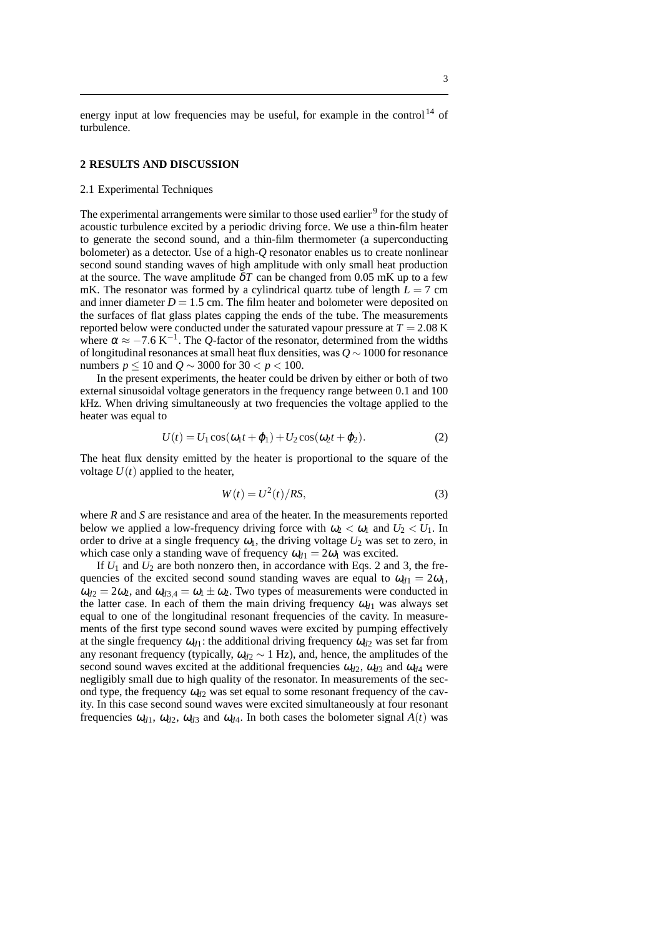energy input at low frequencies may be useful, for example in the control<sup>14</sup> of turbulence.

## **2 RESULTS AND DISCUSSION**

#### 2.1 Experimental Techniques

The experimental arrangements were similar to those used earlier<sup>9</sup> for the study of acoustic turbulence excited by a periodic driving force. We use a thin-film heater to generate the second sound, and a thin-film thermometer (a superconducting bolometer) as a detector. Use of a high-*Q* resonator enables us to create nonlinear second sound standing waves of high amplitude with only small heat production at the source. The wave amplitude  $\delta T$  can be changed from 0.05 mK up to a few mK. The resonator was formed by a cylindrical quartz tube of length  $L = 7$  cm and inner diameter  $D = 1.5$  cm. The film heater and bolometer were deposited on the surfaces of flat glass plates capping the ends of the tube. The measurements reported below were conducted under the saturated vapour pressure at  $T = 2.08 \text{ K}$ where  $\alpha \approx -7.6 \text{ K}^{-1}$ . The *Q*-factor of the resonator, determined from the widths of longitudinal resonances at small heat flux densities, was *Q* ∼ 1000 for resonance numbers  $p \le 10$  and  $Q \sim 3000$  for  $30 < p < 100$ .

In the present experiments, the heater could be driven by either or both of two external sinusoidal voltage generators in the frequency range between 0.1 and 100 kHz. When driving simultaneously at two frequencies the voltage applied to the heater was equal to

$$
U(t) = U_1 \cos(\omega_1 t + \varphi_1) + U_2 \cos(\omega_2 t + \varphi_2). \tag{2}
$$

The heat flux density emitted by the heater is proportional to the square of the voltage  $U(t)$  applied to the heater,

$$
W(t) = U^2(t)/RS,
$$
\n(3)

where *R* and *S* are resistance and area of the heater. In the measurements reported below we applied a low-frequency driving force with  $\omega_2 < \omega_1$  and  $U_2 < U_1$ . In order to drive at a single frequency  $\omega_1$ , the driving voltage  $U_2$  was set to zero, in which case only a standing wave of frequency  $\omega_{d1} = 2\omega_1$  was excited.

If  $U_1$  and  $U_2$  are both nonzero then, in accordance with Eqs. 2 and 3, the frequencies of the excited second sound standing waves are equal to  $\omega_{d1} = 2\omega_1$ ,  $\omega_{d2} = 2\omega_2$ , and  $\omega_{d3,4} = \omega_1 \pm \omega_2$ . Two types of measurements were conducted in the latter case. In each of them the main driving frequency  $\omega_{d1}$  was always set equal to one of the longitudinal resonant frequencies of the cavity. In measurements of the first type second sound waves were excited by pumping effectively at the single frequency  $\omega_{d1}$ : the additional driving frequency  $\omega_{d2}$  was set far from any resonant frequency (typically,  $\omega_{d2} \sim 1$  Hz), and, hence, the amplitudes of the second sound waves excited at the additional frequencies  $\omega_{d2}$ ,  $\omega_{d3}$  and  $\omega_{d4}$  were negligibly small due to high quality of the resonator. In measurements of the second type, the frequency  $\omega_d$ <sub>2</sub> was set equal to some resonant frequency of the cavity. In this case second sound waves were excited simultaneously at four resonant frequencies  $\omega_{d1}$ ,  $\omega_{d2}$ ,  $\omega_{d3}$  and  $\omega_{d4}$ . In both cases the bolometer signal  $A(t)$  was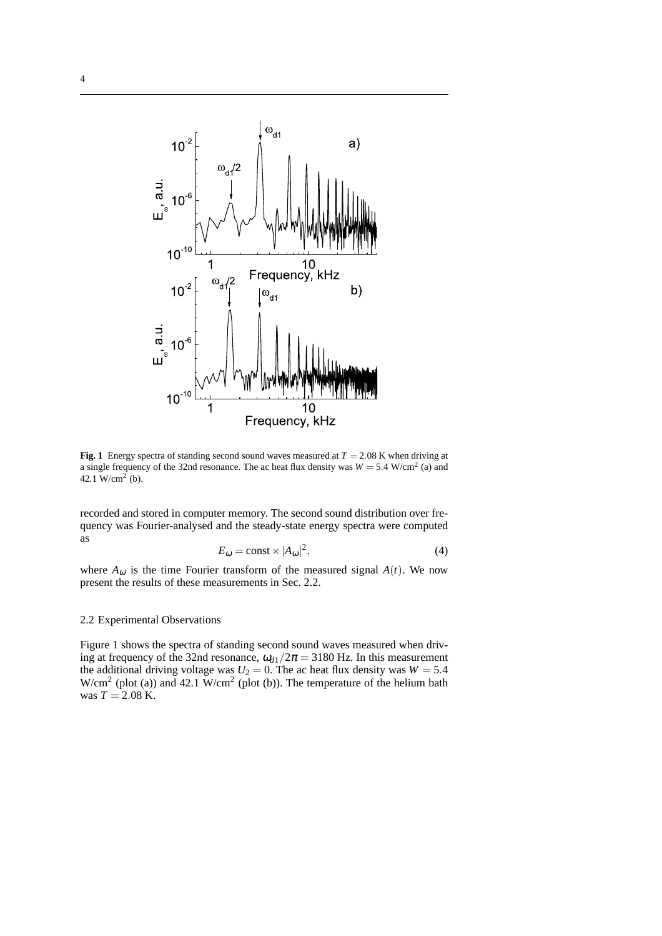

**Fig. 1** Energy spectra of standing second sound waves measured at *T* = 2.08 K when driving at a single frequency of the 32nd resonance. The ac heat flux density was  $W = 5.4$  W/cm<sup>2</sup> (a) and 42.1 W/cm<sup>2</sup> (b).

recorded and stored in computer memory. The second sound distribution over frequency was Fourier-analysed and the steady-state energy spectra were computed as

$$
E_{\omega} = \text{const} \times |A_{\omega}|^2, \tag{4}
$$

where  $A_{\omega}$  is the time Fourier transform of the measured signal  $A(t)$ . We now present the results of these measurements in Sec. 2.2.

# 2.2 Experimental Observations

Figure 1 shows the spectra of standing second sound waves measured when driving at frequency of the 32nd resonance,  $\omega_{d1}/2\pi = 3180$  Hz. In this measurement the additional driving voltage was  $U_2 = 0$ . The ac heat flux density was  $W = 5.4$  $W/cm<sup>2</sup>$  (plot (a)) and 42.1  $W/cm<sup>2</sup>$  (plot (b)). The temperature of the helium bath was  $T = 2.08$  K.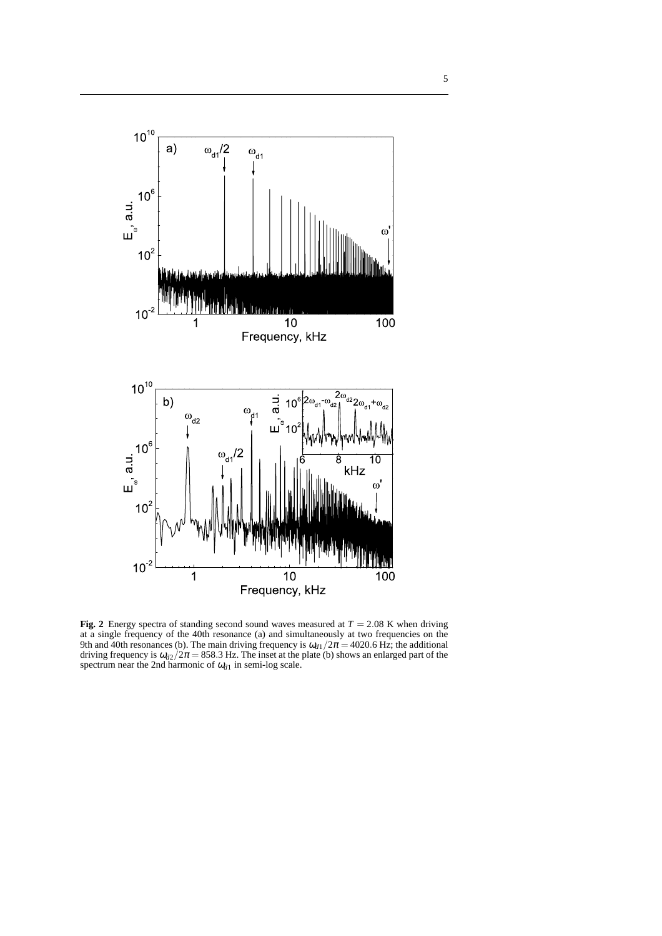

**Fig. 2** Energy spectra of standing second sound waves measured at  $T = 2.08$  K when driving at a single frequency of the 40th resonance (a) and simultaneously at two frequencies on the 9th and 40th resonances (b). The main driving frequency is  $\omega_{d1}/2\pi = 4020.6$  Hz; the additional driving frequency is  $\omega_{d2}/2\pi = 858.3$  Hz. The inset at the plate (b) shows an enlarged part of the spectrum near the 2nd harmonic of  $\omega_{d1}$  in semi-log scale.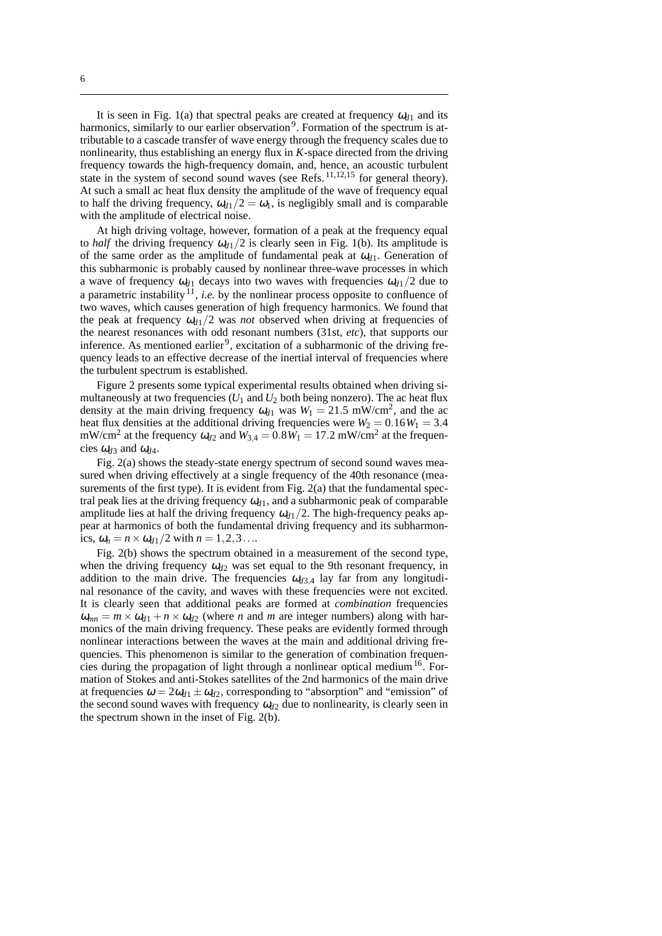It is seen in Fig. 1(a) that spectral peaks are created at frequency  $\omega_{d1}$  and its harmonics, similarly to our earlier observation<sup>9</sup>. Formation of the spectrum is attributable to a cascade transfer of wave energy through the frequency scales due to nonlinearity, thus establishing an energy flux in *K*-space directed from the driving frequency towards the high-frequency domain, and, hence, an acoustic turbulent state in the system of second sound waves (see Refs. <sup>11,12,15</sup> for general theory). At such a small ac heat flux density the amplitude of the wave of frequency equal to half the driving frequency,  $\omega_{d1}/2 = \omega_1$ , is negligibly small and is comparable with the amplitude of electrical noise.

At high driving voltage, however, formation of a peak at the frequency equal to *half* the driving frequency  $\omega_{d1}/2$  is clearly seen in Fig. 1(b). Its amplitude is of the same order as the amplitude of fundamental peak at  $\omega_{d1}$ . Generation of this subharmonic is probably caused by nonlinear three-wave processes in which a wave of frequency  $\omega_{d1}$  decays into two waves with frequencies  $\omega_{d1}/2$  due to a parametric instability<sup>11</sup>, *i.e.* by the nonlinear process opposite to confluence of two waves, which causes generation of high frequency harmonics. We found that the peak at frequency  $\omega_{d1}/2$  was *not* observed when driving at frequencies of the nearest resonances with odd resonant numbers (31st, *etc*), that supports our inference. As mentioned earlier<sup>9</sup>, excitation of a subharmonic of the driving frequency leads to an effective decrease of the inertial interval of frequencies where the turbulent spectrum is established.

Figure 2 presents some typical experimental results obtained when driving simultaneously at two frequencies  $(U_1 \text{ and } U_2 \text{ both being nonzero})$ . The ac heat flux density at the main driving frequency  $\omega_{d1}$  was  $W_1 = 21.5$  mW/cm<sup>2</sup>, and the ac heat flux densities at the additional driving frequencies were  $W_2 = 0.16W_1 = 3.4$ mW/cm<sup>2</sup> at the frequency  $\omega_{d2}$  and  $W_{3,4} = 0.8 \dot{W}_1 = 17.2 \text{ mW/cm}^2$  at the frequencies  $\omega_{d3}$  and  $\omega_{d4}$ .

Fig. 2(a) shows the steady-state energy spectrum of second sound waves measured when driving effectively at a single frequency of the 40th resonance (measurements of the first type). It is evident from Fig.  $2(a)$  that the fundamental spectral peak lies at the driving frequency  $\omega_{d1}$ , and a subharmonic peak of comparable amplitude lies at half the driving frequency  $\omega_{d1}/2$ . The high-frequency peaks appear at harmonics of both the fundamental driving frequency and its subharmonics,  $\omega_n = n \times \omega_{d1}/2$  with  $n = 1, 2, 3 \ldots$ 

Fig. 2(b) shows the spectrum obtained in a measurement of the second type, when the driving frequency  $\omega_{d2}$  was set equal to the 9th resonant frequency, in addition to the main drive. The frequencies  $\omega_{d3,4}$  lay far from any longitudinal resonance of the cavity, and waves with these frequencies were not excited. It is clearly seen that additional peaks are formed at *combination* frequencies  $\omega_{mn} = m \times \omega_{d1} + n \times \omega_{d2}$  (where *n* and *m* are integer numbers) along with harmonics of the main driving frequency. These peaks are evidently formed through nonlinear interactions between the waves at the main and additional driving frequencies. This phenomenon is similar to the generation of combination frequencies during the propagation of light through a nonlinear optical medium<sup>16</sup>. Formation of Stokes and anti-Stokes satellites of the 2nd harmonics of the main drive at frequencies  $\omega = 2\omega_{d1} \pm \omega_{d2}$ , corresponding to "absorption" and "emission" of the second sound waves with frequency  $\omega_{d2}$  due to nonlinearity, is clearly seen in the spectrum shown in the inset of Fig. 2(b).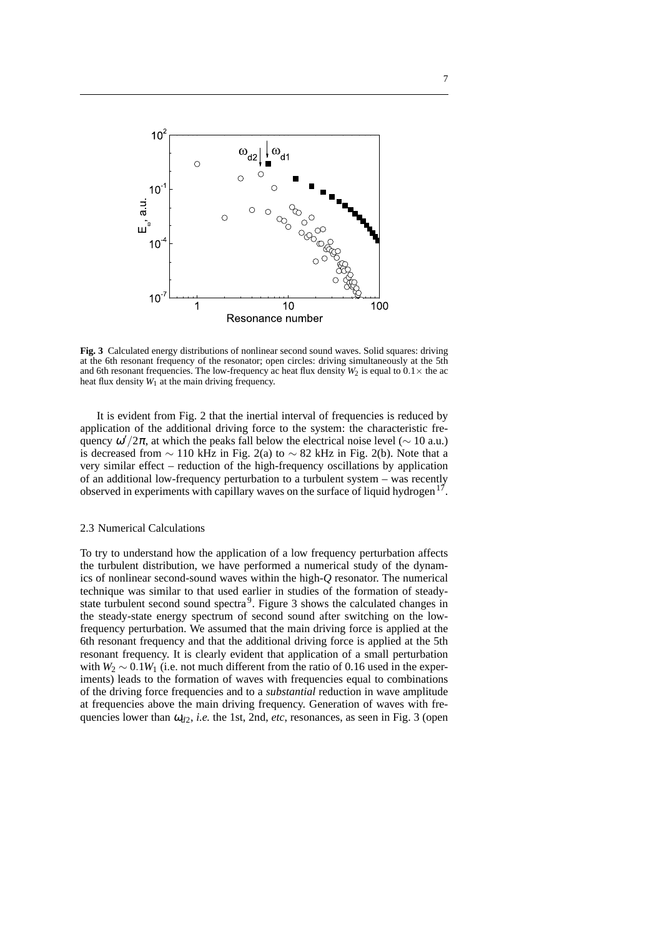

**Fig. 3** Calculated energy distributions of nonlinear second sound waves. Solid squares: driving at the 6th resonant frequency of the resonator; open circles: driving simultaneously at the 5th and 6th resonant frequencies. The low-frequency ac heat flux density  $W_2$  is equal to  $0.1 \times$  the ac heat flux density  $W_1$  at the main driving frequency.

It is evident from Fig. 2 that the inertial interval of frequencies is reduced by application of the additional driving force to the system: the characteristic frequency  $\omega'/2\pi$ , at which the peaks fall below the electrical noise level ( $\sim$  10 a.u.) is decreased from  $\sim$  110 kHz in Fig. 2(a) to  $\sim$  82 kHz in Fig. 2(b). Note that a very similar effect – reduction of the high-frequency oscillations by application of an additional low-frequency perturbation to a turbulent system – was recently observed in experiments with capillary waves on the surface of liquid hydrogen<sup>17</sup>.

# 2.3 Numerical Calculations

To try to understand how the application of a low frequency perturbation affects the turbulent distribution, we have performed a numerical study of the dynamics of nonlinear second-sound waves within the high-*Q* resonator. The numerical technique was similar to that used earlier in studies of the formation of steadystate turbulent second sound spectra<sup>9</sup>. Figure 3 shows the calculated changes in the steady-state energy spectrum of second sound after switching on the lowfrequency perturbation. We assumed that the main driving force is applied at the 6th resonant frequency and that the additional driving force is applied at the 5th resonant frequency. It is clearly evident that application of a small perturbation with  $W_2 \sim 0.1 W_1$  (i.e. not much different from the ratio of 0.16 used in the experiments) leads to the formation of waves with frequencies equal to combinations of the driving force frequencies and to a *substantial* reduction in wave amplitude at frequencies above the main driving frequency. Generation of waves with frequencies lower than  $\omega_{d2}$ , *i.e.* the 1st, 2nd, *etc*, resonances, as seen in Fig. 3 (open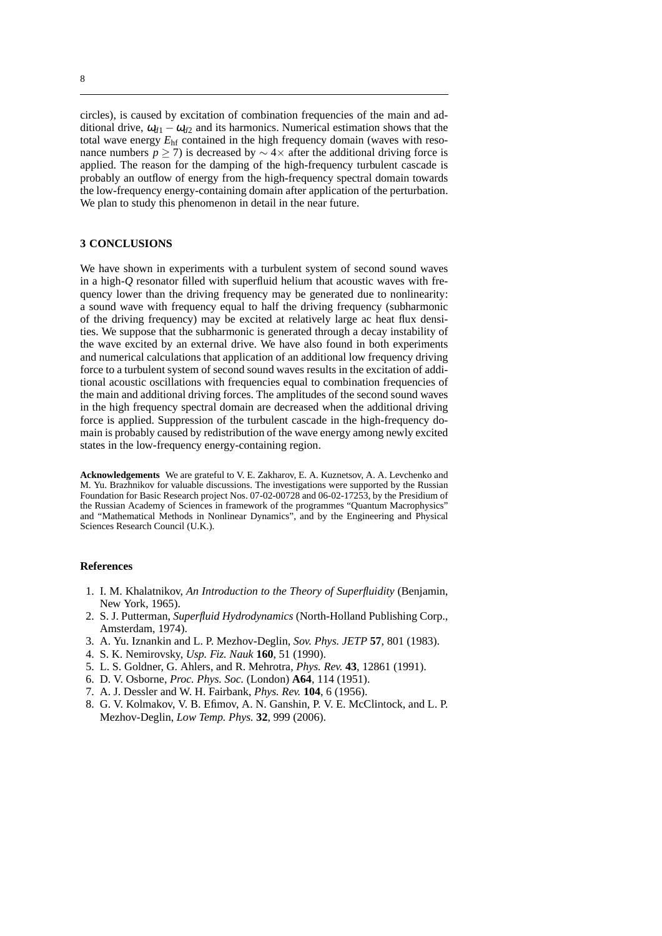circles), is caused by excitation of combination frequencies of the main and additional drive,  $\omega_{d1} - \omega_{d2}$  and its harmonics. Numerical estimation shows that the total wave energy  $E<sub>hf</sub>$  contained in the high frequency domain (waves with resonance numbers  $p \ge 7$ ) is decreased by  $\sim 4 \times$  after the additional driving force is applied. The reason for the damping of the high-frequency turbulent cascade is probably an outflow of energy from the high-frequency spectral domain towards the low-frequency energy-containing domain after application of the perturbation. We plan to study this phenomenon in detail in the near future.

## **3 CONCLUSIONS**

We have shown in experiments with a turbulent system of second sound waves in a high-*Q* resonator filled with superfluid helium that acoustic waves with frequency lower than the driving frequency may be generated due to nonlinearity: a sound wave with frequency equal to half the driving frequency (subharmonic of the driving frequency) may be excited at relatively large ac heat flux densities. We suppose that the subharmonic is generated through a decay instability of the wave excited by an external drive. We have also found in both experiments and numerical calculations that application of an additional low frequency driving force to a turbulent system of second sound waves results in the excitation of additional acoustic oscillations with frequencies equal to combination frequencies of the main and additional driving forces. The amplitudes of the second sound waves in the high frequency spectral domain are decreased when the additional driving force is applied. Suppression of the turbulent cascade in the high-frequency domain is probably caused by redistribution of the wave energy among newly excited states in the low-frequency energy-containing region.

**Acknowledgements** We are grateful to V. E. Zakharov, E. A. Kuznetsov, A. A. Levchenko and M. Yu. Brazhnikov for valuable discussions. The investigations were supported by the Russian Foundation for Basic Research project Nos. 07-02-00728 and 06-02-17253, by the Presidium of the Russian Academy of Sciences in framework of the programmes "Quantum Macrophysics" and "Mathematical Methods in Nonlinear Dynamics", and by the Engineering and Physical Sciences Research Council (U.K.).

#### **References**

- 1. I. M. Khalatnikov, *An Introduction to the Theory of Superfluidity* (Benjamin, New York, 1965).
- 2. S. J. Putterman, *Superfluid Hydrodynamics* (North-Holland Publishing Corp., Amsterdam, 1974).
- 3. A. Yu. Iznankin and L. P. Mezhov-Deglin, *Sov. Phys. JETP* **57**, 801 (1983).
- 4. S. K. Nemirovsky, *Usp. Fiz. Nauk* **160**, 51 (1990).
- 5. L. S. Goldner, G. Ahlers, and R. Mehrotra, *Phys. Rev.* **43**, 12861 (1991).
- 6. D. V. Osborne, *Proc. Phys. Soc.* (London) **A64**, 114 (1951).
- 7. A. J. Dessler and W. H. Fairbank, *Phys. Rev.* **104**, 6 (1956).
- 8. G. V. Kolmakov, V. B. Efimov, A. N. Ganshin, P. V. E. McClintock, and L. P. Mezhov-Deglin, *Low Temp. Phys.* **32**, 999 (2006).